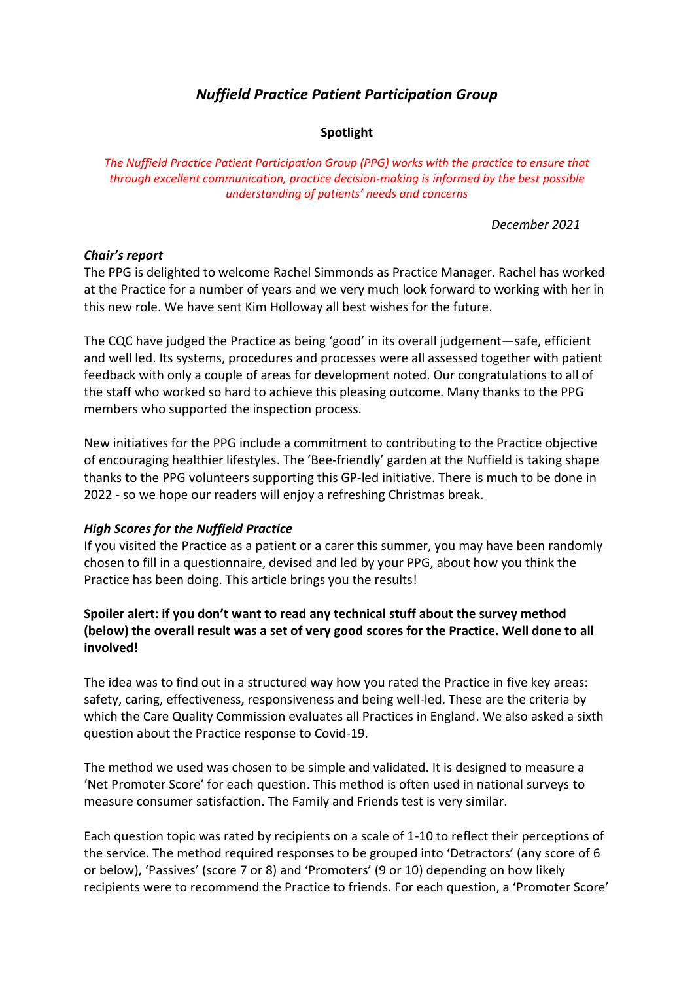# *Nuffield Practice Patient Participation Group*

### **Spotlight**

*The Nuffield Practice Patient Participation Group (PPG) works with the practice to ensure that through excellent communication, practice decision-making is informed by the best possible understanding of patients' needs and concerns*

*December 2021*

### *Chair's report*

The PPG is delighted to welcome Rachel Simmonds as Practice Manager. Rachel has worked at the Practice for a number of years and we very much look forward to working with her in this new role. We have sent Kim Holloway all best wishes for the future.

The CQC have judged the Practice as being 'good' in its overall judgement—safe, efficient and well led. Its systems, procedures and processes were all assessed together with patient feedback with only a couple of areas for development noted. Our congratulations to all of the staff who worked so hard to achieve this pleasing outcome. Many thanks to the PPG members who supported the inspection process.

New initiatives for the PPG include a commitment to contributing to the Practice objective of encouraging healthier lifestyles. The 'Bee-friendly' garden at the Nuffield is taking shape thanks to the PPG volunteers supporting this GP-led initiative. There is much to be done in 2022 - so we hope our readers will enjoy a refreshing Christmas break.

### *High Scores for the Nuffield Practice*

If you visited the Practice as a patient or a carer this summer, you may have been randomly chosen to fill in a questionnaire, devised and led by your PPG, about how you think the Practice has been doing. This article brings you the results!

# **Spoiler alert: if you don't want to read any technical stuff about the survey method (below) the overall result was a set of very good scores for the Practice. Well done to all involved!**

The idea was to find out in a structured way how you rated the Practice in five key areas: safety, caring, effectiveness, responsiveness and being well-led. These are the criteria by which the Care Quality Commission evaluates all Practices in England. We also asked a sixth question about the Practice response to Covid-19.

The method we used was chosen to be simple and validated. It is designed to measure a 'Net Promoter Score' for each question. This method is often used in national surveys to measure consumer satisfaction. The Family and Friends test is very similar.

Each question topic was rated by recipients on a scale of 1-10 to reflect their perceptions of the service. The method required responses to be grouped into 'Detractors' (any score of 6 or below), 'Passives' (score 7 or 8) and 'Promoters' (9 or 10) depending on how likely recipients were to recommend the Practice to friends. For each question, a 'Promoter Score'